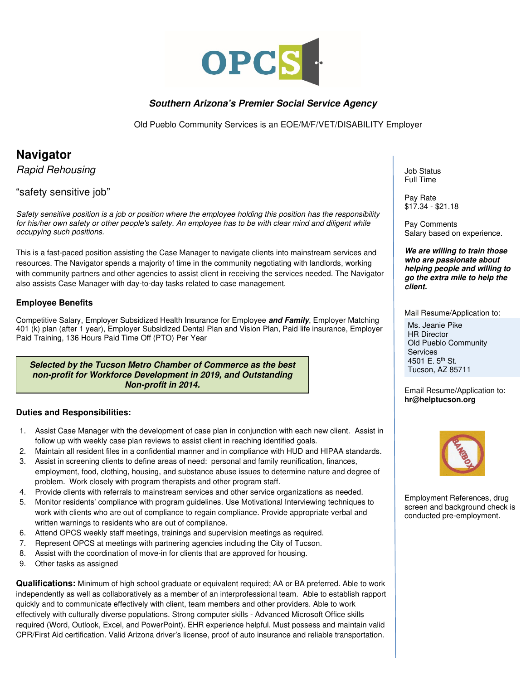

### **Southern Arizona's Premier Social Service Agency**

Old Pueblo Community Services is an EOE/M/F/VET/DISABILITY Employer

# **Navigator**

Rapid Rehousing

## "safety sensitive job"

Safety sensitive position is a job or position where the employee holding this position has the responsibility for his/her own safety or other people's safety. An employee has to be with clear mind and diligent while occupying such positions.

This is a fast-paced position assisting the Case Manager to navigate clients into mainstream services and resources. The Navigator spends a majority of time in the community negotiating with landlords, working with community partners and other agencies to assist client in receiving the services needed. The Navigator also assists Case Manager with day-to-day tasks related to case management.

#### **Employee Benefits**

Competitive Salary, Employer Subsidized Health Insurance for Employee **and Family**, Employer Matching 401 (k) plan (after 1 year), Employer Subsidized Dental Plan and Vision Plan, Paid life insurance, Employer Paid Training, 136 Hours Paid Time Off (PTO) Per Year

**Selected by the Tucson Metro Chamber of Commerce as the best non-profit for Workforce Development in 2019, and Outstanding Non-profit in 2014.** 

#### **Duties and Responsibilities:**

- 1. Assist Case Manager with the development of case plan in conjunction with each new client. Assist in follow up with weekly case plan reviews to assist client in reaching identified goals.
- 2. Maintain all resident files in a confidential manner and in compliance with HUD and HIPAA standards.
- 3. Assist in screening clients to define areas of need: personal and family reunification, finances, employment, food, clothing, housing, and substance abuse issues to determine nature and degree of problem. Work closely with program therapists and other program staff.
- 4. Provide clients with referrals to mainstream services and other service organizations as needed.
- 5. Monitor residents' compliance with program guidelines. Use Motivational Interviewing techniques to work with clients who are out of compliance to regain compliance. Provide appropriate verbal and written warnings to residents who are out of compliance.
- 6. Attend OPCS weekly staff meetings, trainings and supervision meetings as required.
- 7. Represent OPCS at meetings with partnering agencies including the City of Tucson.
- 8. Assist with the coordination of move-in for clients that are approved for housing.
- 9. Other tasks as assigned

**Qualifications:** Minimum of high school graduate or equivalent required; AA or BA preferred. Able to work independently as well as collaboratively as a member of an interprofessional team. Able to establish rapport quickly and to communicate effectively with client, team members and other providers. Able to work effectively with culturally diverse populations. Strong computer skills - Advanced Microsoft Office skills required (Word, Outlook, Excel, and PowerPoint). EHR experience helpful. Must possess and maintain valid CPR/First Aid certification. Valid Arizona driver's license, proof of auto insurance and reliable transportation.

Job Status Full Time

Pay Rate \$17.34 - \$21.18

Pay Comments Salary based on experience.

**We are willing to train those who are passionate about helping people and willing to go the extra mile to help the client.** 

Mail Resume/Application to: Ms. Jeanie Pike

HR Director Old Pueblo Community **Services** 4501 E. 5<sup>th</sup> St. Tucson, AZ 85711

Email Resume/Application to: **hr@helptucson.org** 



Employment References, drug screen and background check is conducted pre-employment.